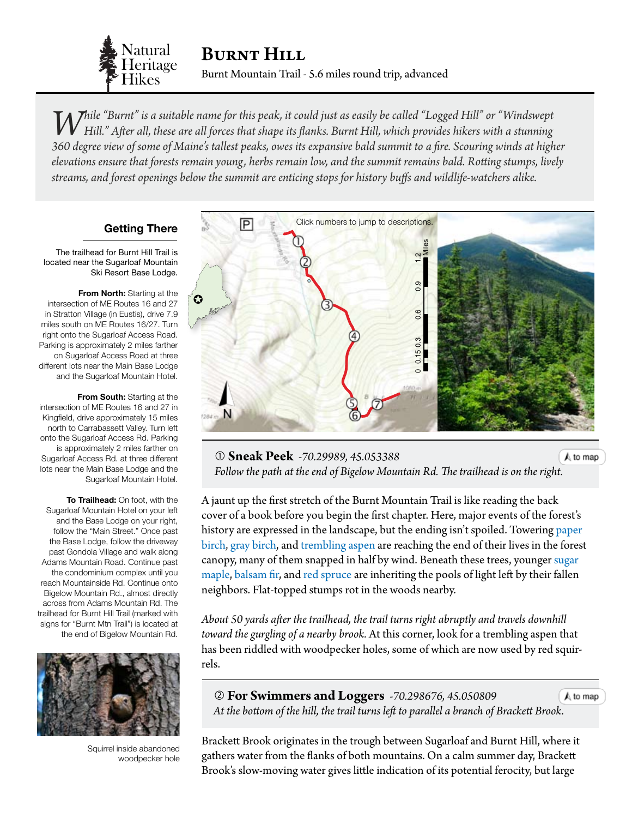

*While "Burnt" is a suitable name for this peak, it could just as easily be called "Logged Hill" or "Windswept Hill." After all, these are all forces that shape its flanks. Burnt Hill, which provides hikers with a stunning 360 degree view of some of Maine's tallest peaks, owes its expansive bald summit to a fire. Scouring winds at higher elevations ensure that forests remain young, herbs remain low, and the summit remains bald. Rotting stumps, lively streams, and forest openings below the summit are enticing stops for history buffs and wildlife-watchers alike.*

### **Getting There**

The trailhead for Burnt Hill Trail is located near the Sugarloaf Mountain Ski Resort Base Lodge.

**From North:** Starting at the intersection of ME Routes 16 and 27 in Stratton Village (in Eustis), drive 7.9 miles south on ME Routes 16/27. Turn right onto the Sugarloaf Access Road. Parking is approximately 2 miles farther on Sugarloaf Access Road at three different lots near the Main Base Lodge and the Sugarloaf Mountain Hotel.

**From South:** Starting at the intersection of ME Routes 16 and 27 in Kingfield, drive approximately 15 miles north to Carrabassett Valley. Turn left onto the Sugarloaf Access Rd. Parking is approximately 2 miles farther on Sugarloaf Access Rd. at three different lots near the Main Base Lodge and the Sugarloaf Mountain Hotel.

**To Trailhead:** On foot, with the Sugarloaf Mountain Hotel on your left and the Base Lodge on your right, follow the "Main Street." Once past the Base Lodge, follow the driveway past Gondola Village and walk along Adams Mountain Road. Continue past the condominium complex until you reach Mountainside Rd. Continue onto Bigelow Mountain Rd., almost directly across from Adams Mountain Rd. The trailhead for Burnt Hill Trail (marked with signs for "Burnt Mtn Trail") is located at the end of Bigelow Mountain Rd.



Squirrel inside abandoned woodpecker hole

<span id="page-0-0"></span>

 **Sneak Peek** *-70.29989, 45.053388*  $A$  to map Follow the path at the end of Bigelow Mountain Rd. The trailhead is on the [right.](#page-0-0)

A jaunt up the first stretch of the Burnt Mountain Trail is like reading the back cover of a book before you begin the first chapter. Here, major events of the forest's history are expressed in the landscape, but the ending isn't spoiled. Towering paper [birch,](http://dendro.cnre.vt.edu/dendrology/syllabus/factsheet.cfm?ID=14) [gray birch,](http://dendro.cnre.vt.edu/dendrology/syllabus/factsheet.cfm?ID=16) and [trembling aspen](http://dendro.cnre.vt.edu/dendrology/syllabus/factsheet.cfm?ID=160) are reaching the end of their lives in the forest canopy, many of them snapped in half by wind. Beneath these trees, younger [sugar](http://dendro.cnre.vt.edu/dendrology/syllabus/factsheet.cfm?ID=2)  [maple,](http://dendro.cnre.vt.edu/dendrology/syllabus/factsheet.cfm?ID=2) [balsam fir](http://dendro.cnre.vt.edu/dendrology/syllabus/factsheet.cfm?ID=119), and [red spruce](http://dendro.cnre.vt.edu/dendrology/syllabus/factsheet.cfm?ID=137) are inheriting the pools of light left by their fallen neighbors. Flat-topped stumps rot in the woods nearby.

*About 50 yards after the trailhead, the trail turns right abruptly and travels downhill toward the gurgling of a nearby brook.* At this corner, look for a trembling aspen that has been riddled with woodpecker holes, some of which are now used by red squirrels.

 **For Swimmers and Loggers** *-70.298676, 45.050809*  $A$  to map  *At the bottom of the hill, the trail turns left to parallel a branch of Brackett [Brook.](#page-0-0)*

Brackett Brook originates in the trough between Sugarloaf and Burnt Hill, where it gathers water from the flanks of both mountains. On a calm summer day, Brackett Brook's slow-moving water gives little indication of its potential ferocity, but large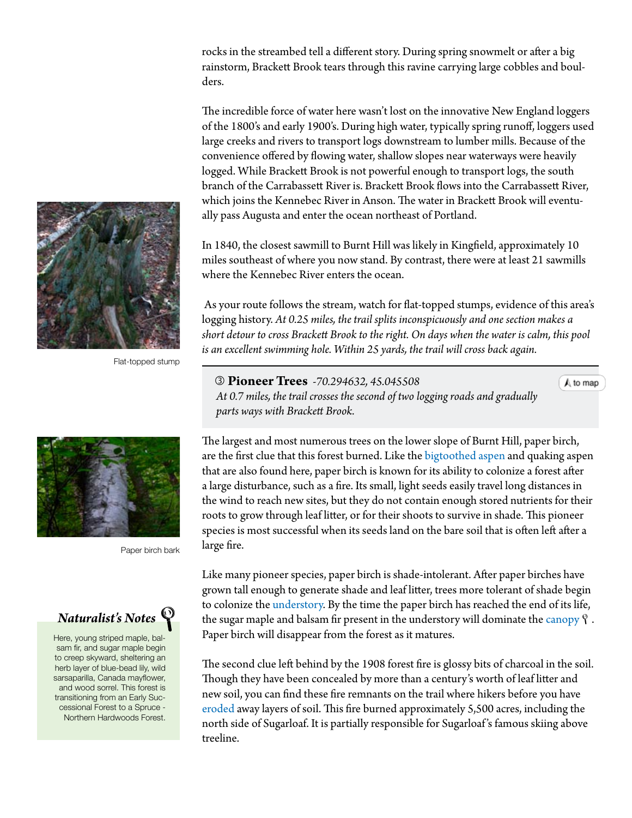rocks in the streambed tell a different story. During spring snowmelt or after a big rainstorm, Brackett Brook tears through this ravine carrying large cobbles and boulders.

The incredible force of water here wasn't lost on the innovative New England loggers of the 1800's and early 1900's. During high water, typically spring runoff, loggers used large creeks and rivers to transport logs downstream to lumber mills. Because of the convenience offered by flowing water, shallow slopes near waterways were heavily logged. While Brackett Brook is not powerful enough to transport logs, the south branch of the Carrabassett River is. Brackett Brook flows into the Carrabassett River, which joins the Kennebec River in Anson. The water in Brackett Brook will eventually pass Augusta and enter the ocean northeast of Portland.

In 1840, the closest sawmill to Burnt Hill was likely in Kingfield, approximately 10 miles southeast of where you now stand. By contrast, there were at least 21 sawmills where the Kennebec River enters the ocean.

 As your route follows the stream, watch for flat-topped stumps, evidence of this area's logging history. *At 0.25 miles, the trail splits inconspicuously and one section makes a short detour to cross Brackett Brook to the right. On days when the water is calm, this pool is an excellent swimming hole. Within 25 yards, the trail will cross back again.*

 **Pioneer Trees** *-70.294632, 45.045508 At 0.7 miles, the trail crosses the second of two logging roads and gradually parts ways with Brackett Brook.*

 $A$  to map

The largest and most numerous trees on the lower slope of Burnt Hill, [paper birch,](http://dendro.cnre.vt.edu/dendrology/syllabus/factsheet.cfm?ID=14) are the first clue that this forest burned. Like the [bigtoothed aspen](http://dendro.cnre.vt.edu/dendrology/syllabus/factsheet.cfm?ID=65) and [quaking aspen](http://dendro.cnre.vt.edu/dendrology/syllabus/factsheet.cfm?ID=160) that are also found here, paper birch is known for its ability to colonize a forest after a large disturbance, such as a fire. Its small, light seeds easily travel long distances in the wind to reach new sites, but they do not contain enough stored nutrients for their roots to grow through leaf litter, or for their shoots to survive in shade. This pioneer species is most successful when its seeds land on the bare soil that is often left after a large fire.

Like many pioneer species, paper birch is shade-intolerant. After paper birches have grown tall enough to generate shade and leaf litter, trees more tolerant of shade begin to colonize the [understory.](#page-3-0) By the time the paper birch has reached the end of its life, the sugar maple and balsam fir present in the understory will dominate the [canopy](#page-3-0)  $\gamma$ . Paper birch will disappear from the forest as it matures.

The second clue left behind by the 1908 forest fire is glossy bits of charcoal in the soil. Though they have been concealed by more than a century's worth of leaf litter and new soil, you can find these fire remnants on the trail where hikers before you have [eroded](#page-3-0) away layers of soil. This fire burned approximately 5,500 acres, including the north side of Sugarloaf. It is partially responsible for Sugarloaf 's famous skiing above treeline.





Paper birch bark



Here, young striped maple, balsam fir, and sugar maple begin to creep skyward, sheltering an herb layer of blue-bead lily, wild sarsaparilla, Canada mayflower, and wood sorrel. This forest is transitioning from an Early Successional Forest to a Spruce - Northern Hardwoods Forest.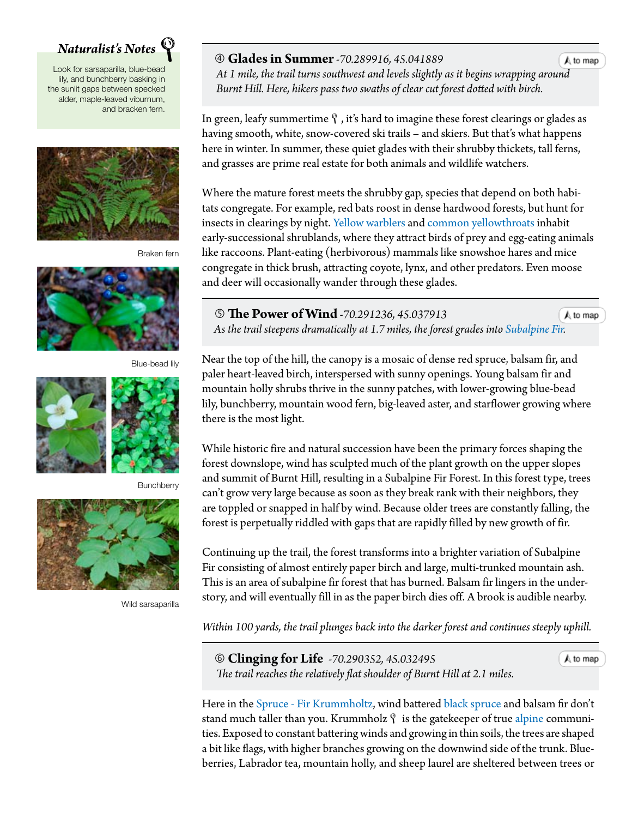# *Naturalist's Notes*

Look for sarsaparilla, blue-bead lily, and bunchberry basking in the sunlit gaps between specked alder, maple-leaved viburnum, and bracken fern.



Braken fern



Blue-bead lily



**Bunchberry** 



Wild sarsaparilla

#### **Glades in Summer***-70.289916, 45.041889*

 *At 1 mile, the trail turns southwest and levels slightly as it begins wrapping [around](#page-0-0) Burnt Hill. Here, hikers pass two swaths of clear cut forest dotted with birch.*

In green, leafy summertime  $\mathcal{P}$ , it's hard to imagine these forest clearings or glades as having smooth, white, snow-covered ski trails – and skiers. But that's what happens here in winter. In summer, these quiet glades with their shrubby thickets, tall ferns, and grasses are prime real estate for both animals and wildlife watchers.

Where the mature forest meets the shrubby gap, species that depend on both habitats congregate. For example, red bats roost in dense hardwood forests, but hunt for insects in clearings by night. [Yellow warblers](http://www.allaboutbirds.org/guide/Yellow_Warbler/id) and [common yellowthroats](http://www.allaboutbirds.org/guide/Common_Yellowthroat/id) inhabit early-successional shrublands, where they attract birds of prey and egg-eating animals like raccoons. Plant-eating (herbivorous) mammals like snowshoe hares and mice congregate in thick brush, attracting coyote, lynx, and other predators. Even moose and deer will occasionally wander through these glades.

# **The Power of Wind** *-70.291236, 45.037913*

A to map

A to map

 *As the trail steepens dramatically at 1.7 miles, the forest grades into [Subalpine Fir](http://www.maine.gov/dacf/mnap/features/communities/subalpinefirforest.htm)[.](#page-0-0)*

Near the top of the hill, the canopy is a mosaic of dense [red spruce](http://dendro.cnre.vt.edu/dendrology/syllabus/factsheet.cfm?ID=137), [balsam fir](http://dendro.cnre.vt.edu/dendrology/syllabus/factsheet.cfm?ID=119), and paler heart-leaved birch, interspersed with sunny openings. Young balsam fir and mountain holly shrubs thrive in the sunny patches, with lower-growing blue-bead lily, bunchberry, mountain wood fern, big-leaved aster, and starflower growing where there is the most light.

While historic fire and natural succession have been the primary forces shaping the forest downslope, wind has sculpted much of the plant growth on the upper slopes and summit of Burnt Hill, resulting in a Subalpine Fir Forest. In this forest type, trees can't grow very large because as soon as they break rank with their neighbors, they are toppled or snapped in half by wind. Because older trees are constantly falling, the forest is perpetually riddled with gaps that are rapidly filled by new growth of fir.

Continuing up the trail, the forest transforms into a brighter variation of Subalpine Fir consisting of almost entirely paper birch and large, multi-trunked mountain ash. This is an area of subalpine fir forest that has burned. Balsam fir lingers in the understory, and will eventually fill in as the paper birch dies off. A brook is audible nearby.

*Within 100 yards, the trail plunges back into the darker forest and continues steeply uphill.*

 **Clinging for Life** *-70.290352, 45.032495 The trail reaches the relatively flat shoulder of Burnt Hill at 2.1 miles.*

 $A$  to map

Here in the [Spruce - Fir Krummholtz](http://www.maine.gov/dacf/mnap/features/communities/sprucefirkrummholz.htm), wind battered [black spruce](http://dendro.cnre.vt.edu/dendrology/syllabus/factsheet.cfm?ID=104) and balsam fir don't stand much taller than you. Krummholz  $\hat{y}$  is the gatekeeper of true [alpine](#page-3-0) communities. Exposed to constant battering winds and growing in thin soils, the trees are shaped a bit like flags, with higher branches growing on the downwind side of the trunk. Blueberries, Labrador tea, mountain holly, and sheep laurel are sheltered between trees or